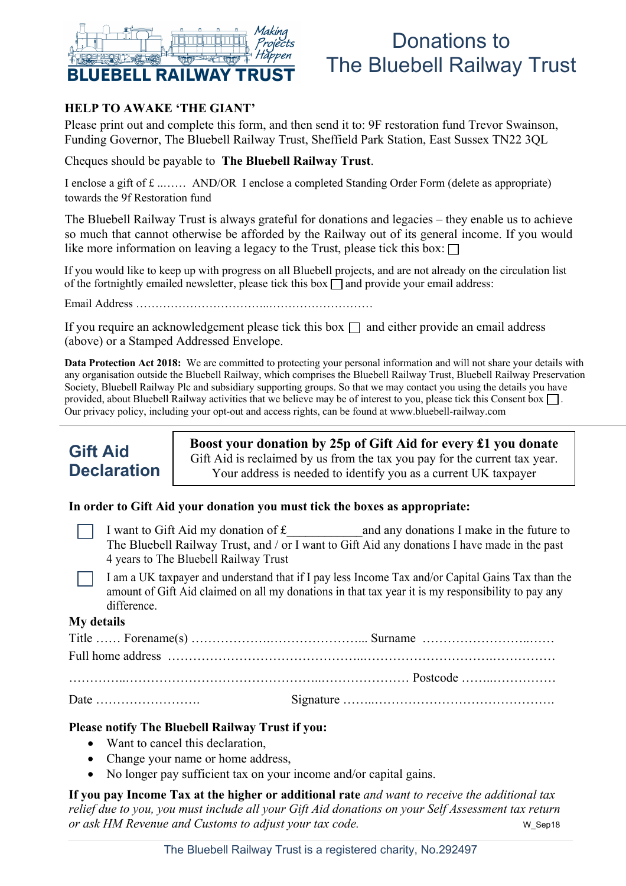

# Donations to The Bluebell Railway Trust

#### **HELP TO AWAKE 'THE GIANT'**

Please print out and complete this form, and then send it to: 9F restoration fund Trevor Swainson, Funding Governor, The Bluebell Railway Trust, Sheffield Park Station, East Sussex TN22 3QL

Cheques should be payable to **The Bluebell Railway Trust**.

I enclose a gift of £ ..…… AND/OR I enclose a completed Standing Order Form (delete as appropriate) towards the 9f Restoration fund

The Bluebell Railway Trust is always grateful for donations and legacies – they enable us to achieve so much that cannot otherwise be afforded by the Railway out of its general income. If you would like more information on leaving a legacy to the Trust, please tick this box:  $\Box$ 

If you would like to keep up with progress on all Bluebell projects, and are not already on the circulation list of the fortnightly emailed newsletter, please tick this box  $\Box$  and provide your email address:

Email Address ……………………………..………………………

If you require an acknowledgement please tick this box  $\Box$  and either provide an email address (above) or a Stamped Addressed Envelope.

**Data Protection Act 2018:** We are committed to protecting your personal information and will not share your details with any organisation outside the Bluebell Railway, which comprises the Bluebell Railway Trust, Bluebell Railway Preservation Society, Bluebell Railway Plc and subsidiary supporting groups. So that we may contact you using the details you have provided, about Bluebell Railway activities that we believe may be of interest to you, please tick this Consent box  $\Box$ . Our privacy policy, including your opt-out and access rights, can be found at www.bluebell-railway.com

### **Gift Aid Declaration**

**Boost your donation by 25p of Gift Aid for every £1 you donate** Gift Aid is reclaimed by us from the tax you pay for the current tax year. Your address is needed to identify you as a current UK taxpayer

#### **In order to Gift Aid your donation you must tick the boxes as appropriate:**

I want to Gift Aid my donation of  $f$  and any donations I make in the future to The Bluebell Railway Trust, and / or I want to Gift Aid any donations I have made in the past 4 years to The Bluebell Railway Trust

I am a UK taxpayer and understand that if I pay less Income Tax and/or Capital Gains Tax than the amount of Gift Aid claimed on all my donations in that tax year it is my responsibility to pay any difference.

#### **My details**

#### **Please notify The Bluebell Railway Trust if you:**

- Want to cancel this declaration,
- Change your name or home address,
- No longer pay sufficient tax on your income and/or capital gains.

**If you pay Income Tax at the higher or additional rate** *and want to receive the additional tax relief due to you, you must include all your Gift Aid donations on your Self Assessment tax return or ask HM Revenue and Customs to adjust your tax code.* We want to the weap we septed